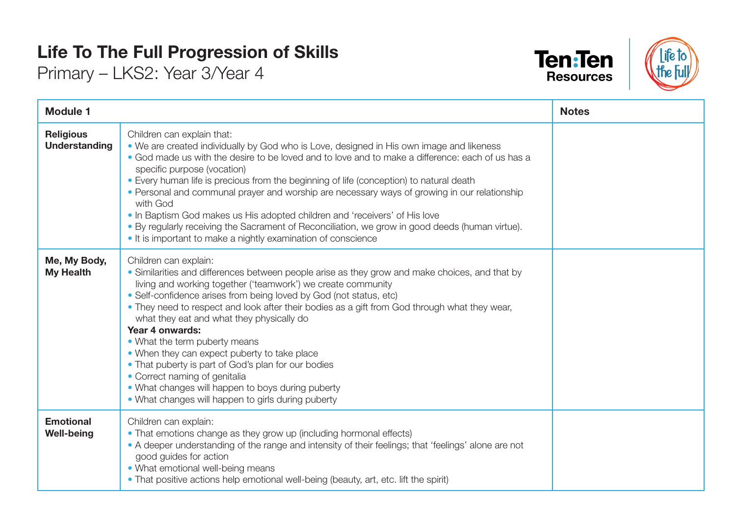## **Life To The Full Progression of Skills**

Primary – LKS2: Year 3/Year 4





| <b>Module 1</b>                          |                                                                                                                                                                                                                                                                                                                                                                                                                                                                                                                                                                                                                                                                                                                    | <b>Notes</b> |
|------------------------------------------|--------------------------------------------------------------------------------------------------------------------------------------------------------------------------------------------------------------------------------------------------------------------------------------------------------------------------------------------------------------------------------------------------------------------------------------------------------------------------------------------------------------------------------------------------------------------------------------------------------------------------------------------------------------------------------------------------------------------|--------------|
| <b>Religious</b><br><b>Understanding</b> | Children can explain that:<br>• We are created individually by God who is Love, designed in His own image and likeness<br>• God made us with the desire to be loved and to love and to make a difference: each of us has a<br>specific purpose (vocation)<br>• Every human life is precious from the beginning of life (conception) to natural death<br>• Personal and communal prayer and worship are necessary ways of growing in our relationship<br>with God<br>. In Baptism God makes us His adopted children and 'receivers' of His love<br>. By regularly receiving the Sacrament of Reconciliation, we grow in good deeds (human virtue).<br>• It is important to make a nightly examination of conscience |              |
| Me, My Body,<br><b>My Health</b>         | Children can explain:<br>• Similarities and differences between people arise as they grow and make choices, and that by<br>living and working together ('teamwork') we create community<br>• Self-confidence arises from being loved by God (not status, etc)<br>• They need to respect and look after their bodies as a gift from God through what they wear,<br>what they eat and what they physically do<br>Year 4 onwards:<br>• What the term puberty means<br>• When they can expect puberty to take place<br>• That puberty is part of God's plan for our bodies<br>• Correct naming of genitalia<br>• What changes will happen to boys during puberty<br>• What changes will happen to girls during puberty |              |
| <b>Emotional</b><br><b>Well-being</b>    | Children can explain:<br>• That emotions change as they grow up (including hormonal effects)<br>• A deeper understanding of the range and intensity of their feelings; that 'feelings' alone are not<br>good guides for action<br>• What emotional well-being means<br>• That positive actions help emotional well-being (beauty, art, etc. lift the spirit)                                                                                                                                                                                                                                                                                                                                                       |              |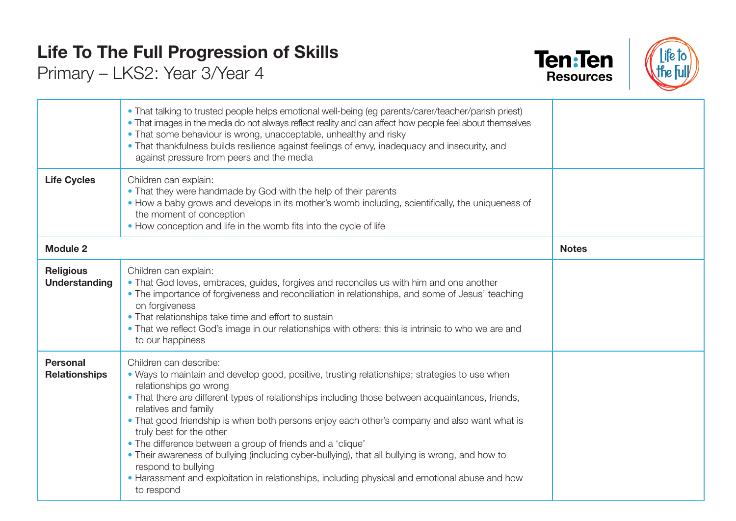## **Life To The Full Progression of Skills**

Primary – LKS2: Year 3/Year 4





|                                          | • That talking to trusted people helps emotional well-being (eg parents/carer/teacher/parish priest)<br>• That images in the media do not always reflect reality and can affect how people feel about themselves<br>• That some behaviour is wrong, unacceptable, unhealthy and risky<br>• That thankfulness builds resilience against feelings of envy, inadequacy and insecurity, and<br>against pressure from peers and the media                                                                                                                                                                                                                                                                                |              |
|------------------------------------------|---------------------------------------------------------------------------------------------------------------------------------------------------------------------------------------------------------------------------------------------------------------------------------------------------------------------------------------------------------------------------------------------------------------------------------------------------------------------------------------------------------------------------------------------------------------------------------------------------------------------------------------------------------------------------------------------------------------------|--------------|
| <b>Life Cycles</b>                       | Children can explain:<br>. That they were handmade by God with the help of their parents<br>• How a baby grows and develops in its mother's womb including, scientifically, the uniqueness of<br>the moment of conception<br>• How conception and life in the womb fits into the cycle of life                                                                                                                                                                                                                                                                                                                                                                                                                      |              |
| <b>Module 2</b>                          |                                                                                                                                                                                                                                                                                                                                                                                                                                                                                                                                                                                                                                                                                                                     | <b>Notes</b> |
| <b>Religious</b><br><b>Understanding</b> | Children can explain:<br>• That God loves, embraces, guides, forgives and reconciles us with him and one another<br>• The importance of forgiveness and reconciliation in relationships, and some of Jesus' teaching<br>on forgiveness<br>• That relationships take time and effort to sustain<br>. That we reflect God's image in our relationships with others: this is intrinsic to who we are and<br>to our happiness                                                                                                                                                                                                                                                                                           |              |
| <b>Personal</b><br><b>Relationships</b>  | Children can describe:<br>. Ways to maintain and develop good, positive, trusting relationships; strategies to use when<br>relationships go wrong<br>• That there are different types of relationships including those between acquaintances, friends,<br>relatives and family<br>• That good friendship is when both persons enjoy each other's company and also want what is<br>truly best for the other<br>• The difference between a group of friends and a 'clique'<br>• Their awareness of bullying (including cyber-bullying), that all bullying is wrong, and how to<br>respond to bullying<br>• Harassment and exploitation in relationships, including physical and emotional abuse and how<br>to respond |              |